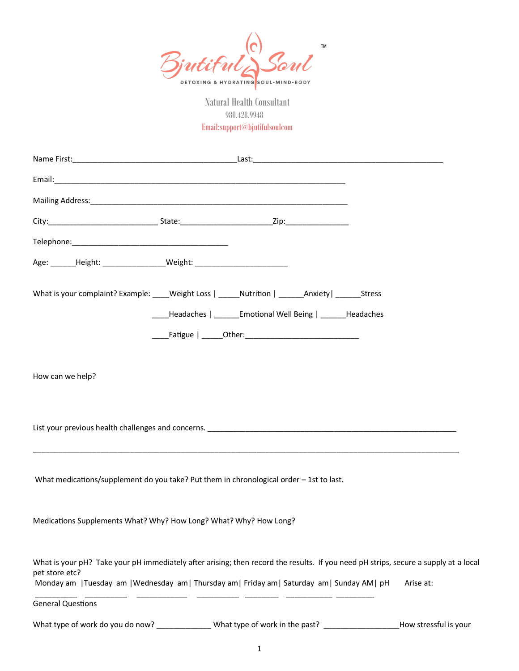

 980.428.9948 Email:support@bjutifulsoulcom

| Age: _______Height: ___________________Weight: _________________________________                                                                                                                                                                        |                                                              |  |                       |
|---------------------------------------------------------------------------------------------------------------------------------------------------------------------------------------------------------------------------------------------------------|--------------------------------------------------------------|--|-----------------------|
| What is your complaint? Example: ____Weight Loss   _____Nutrition   ______Anxiety   ______Stress                                                                                                                                                        |                                                              |  |                       |
|                                                                                                                                                                                                                                                         | ____Headaches   ______Emotional Well Being   ______Headaches |  |                       |
|                                                                                                                                                                                                                                                         |                                                              |  |                       |
| How can we help?<br>List your previous health challenges and concerns. The manufacturer and control to the control of the control of                                                                                                                    |                                                              |  |                       |
| What medications/supplement do you take? Put them in chronological order - 1st to last.                                                                                                                                                                 |                                                              |  |                       |
| Medications Supplements What? Why? How Long? What? Why? How Long?                                                                                                                                                                                       |                                                              |  |                       |
| What is your pH? Take your pH immediately after arising; then record the results. If you need pH strips, secure a supply at a local<br>pet store etc?<br>Monday am   Tuesday am   Wednesday am   Thursday am   Friday am   Saturday am   Sunday AM   pH |                                                              |  | Arise at:             |
| <b>General Questions</b>                                                                                                                                                                                                                                |                                                              |  |                       |
|                                                                                                                                                                                                                                                         |                                                              |  | How stressful is your |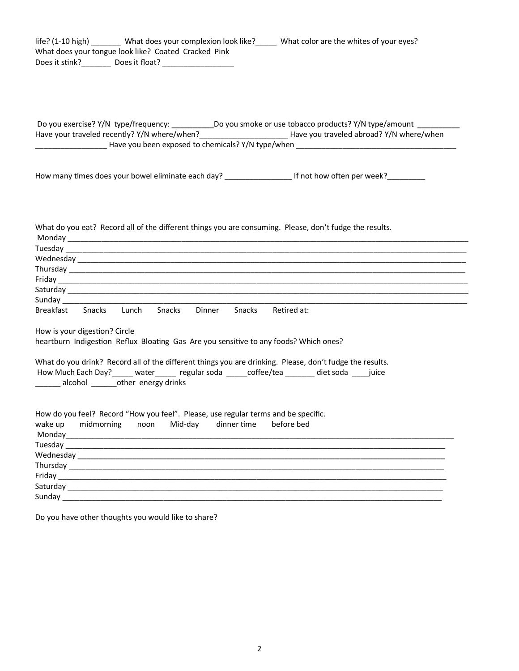| life? (1-10 high) ________ What does your complexion look like? _____ What color are the whites of your eyes?<br>What does your tongue look like? Coated Cracked Pink<br>Does it stink? Does it float?                                                                                                                                                                                                                                                                                                                                         |
|------------------------------------------------------------------------------------------------------------------------------------------------------------------------------------------------------------------------------------------------------------------------------------------------------------------------------------------------------------------------------------------------------------------------------------------------------------------------------------------------------------------------------------------------|
| Do you exercise? Y/N type/frequency: ___________________Do you smoke or use tobacco products? Y/N type/amount _____________<br>Have your traveled recently? Y/N where/when?_______________________Have you traveled abroad? Y/N where/when                                                                                                                                                                                                                                                                                                     |
| How many times does your bowel eliminate each day? ______________________________ If not how often per week?___________                                                                                                                                                                                                                                                                                                                                                                                                                        |
| What do you eat? Record all of the different things you are consuming. Please, don't fudge the results.<br>$Thus, the following property holds for a non-convex property. The following property holds for a non-convex property holds.$<br>Saturday experience and the same state of the same state of the same state of the same state of the same state of the same state of the same state of the same state of the same state of the same state of the same state of<br>Sunday<br>Breakfast Snacks Lunch Snacks Dinner Snacks Retired at: |
| How is your digestion? Circle<br>heartburn Indigestion Reflux Bloating Gas Are you sensitive to any foods? Which ones?                                                                                                                                                                                                                                                                                                                                                                                                                         |
| What do you drink? Record all of the different things you are drinking. Please, don't fudge the results.<br>How Much Each Day? _____ water ______ regular soda _____ coffee/tea _______ diet soda ____ juice<br>_____ alcohol _______other energy drinks                                                                                                                                                                                                                                                                                       |
| How do you feel? Record "How you feel". Please, use regular terms and be specific.<br>wake up<br>midmorning<br>Mid-day<br>dinner time<br>before bed<br>noon                                                                                                                                                                                                                                                                                                                                                                                    |

Do you have other thoughts you would like to share?